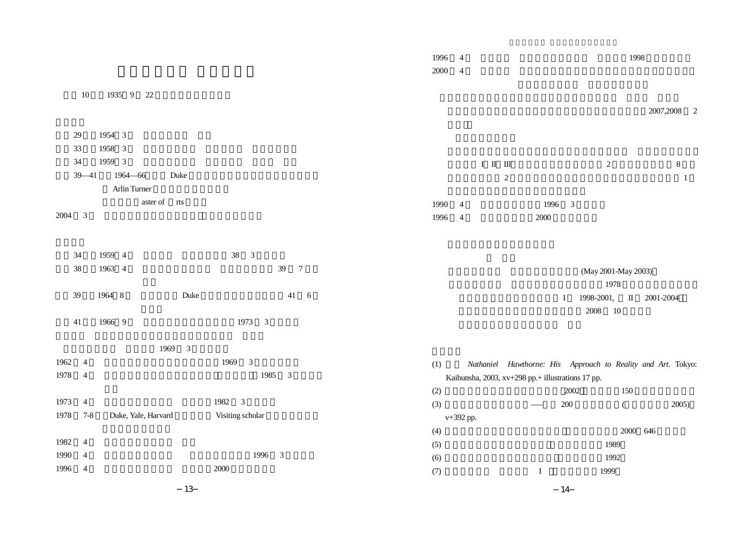|      |                |                      |                                 | 1996<br>$2000\,$ | $\overline{4}$<br>$\overline{4}$ |                          |            |         |      |                         |                                                   |                                                              | 1998     |           |             |              |  |
|------|----------------|----------------------|---------------------------------|------------------|----------------------------------|--------------------------|------------|---------|------|-------------------------|---------------------------------------------------|--------------------------------------------------------------|----------|-----------|-------------|--------------|--|
|      | $10\,$         | 1935 9 22            |                                 |                  |                                  |                          |            |         |      |                         |                                                   |                                                              |          |           | 2007,2008 2 |              |  |
|      | 29             | 1954 3               |                                 |                  |                                  |                          |            |         |      |                         |                                                   |                                                              |          |           |             |              |  |
|      | 33             | 1958 3               |                                 |                  |                                  |                          |            |         |      |                         |                                                   |                                                              |          |           |             |              |  |
|      | 34             | 1959 3               |                                 |                  |                                  | $\rm I\quad II\quad III$ |            |         |      |                         |                                                   | $\sqrt{2}$                                                   |          |           | $\,8\,$     |              |  |
|      | $39 - 41$      | 1964-66<br>Duke      |                                 |                  |                                  |                          | $\sqrt{2}$ |         |      |                         |                                                   |                                                              |          |           |             | $\mathbf{1}$ |  |
|      |                | Arlin Turner         |                                 |                  |                                  |                          |            |         |      |                         |                                                   |                                                              |          |           |             |              |  |
|      |                | aster of<br>rts      |                                 | 1990             | $\overline{4}$                   |                          |            |         | 1996 | $\overline{\mathbf{3}}$ |                                                   |                                                              |          |           |             |              |  |
| 2004 | $\mathfrak{Z}$ |                      |                                 | 1996             | $\overline{4}$                   |                          |            |         | 2000 |                         |                                                   |                                                              |          |           |             |              |  |
|      |                |                      |                                 |                  |                                  |                          |            |         |      |                         |                                                   |                                                              |          |           |             |              |  |
|      | 34             | 1959 4               | 38 3                            |                  |                                  |                          |            |         |      |                         |                                                   |                                                              |          |           |             |              |  |
|      | $38\,$         | 1963 4               | $39\,$<br>$\overline{7}$        |                  |                                  |                          |            |         |      |                         |                                                   |                                                              |          |           |             |              |  |
|      |                |                      |                                 |                  |                                  |                          |            |         |      |                         |                                                   | (May 2001-May 2003)                                          |          |           |             |              |  |
|      | 39             | Duke<br>1964 8       | 41<br>$6\,$                     |                  |                                  |                          |            |         |      |                         |                                                   | 1978                                                         |          |           |             |              |  |
|      |                |                      |                                 |                  |                                  |                          |            |         |      | $\bf{I}$                |                                                   | 1998-2001,                                                   | $\;$ II  | 2001-2004 |             |              |  |
|      | 41             | 1966 9               | 1973 3                          |                  |                                  |                          |            |         |      |                         | $2008\,$                                          | 10                                                           |          |           |             |              |  |
|      |                | 1969<br>$\mathbf{3}$ |                                 |                  |                                  |                          |            |         |      |                         |                                                   |                                                              |          |           |             |              |  |
| 1962 | $\overline{4}$ |                      | $\overline{\mathbf{3}}$<br>1969 | (1)              |                                  |                          |            |         |      |                         |                                                   | Nathaniel Hawthorne: His Approach to Reality and Art. Tokyo: |          |           |             |              |  |
| 1978 | 4              |                      | 1985 3                          |                  |                                  |                          |            |         |      |                         | Kaibunsha, 2003, xv+298 pp.+ illustrations 17 pp. |                                                              |          |           |             |              |  |
|      |                |                      |                                 | (2)              |                                  |                          |            |         |      | 2002                    |                                                   |                                                              | 150      |           |             |              |  |
| 1973 | $\overline{4}$ |                      | 1982 3                          | (3)              |                                  |                          |            |         |      | $200\,$                 |                                                   |                                                              | $\left($ |           | 2005)       |              |  |
| 1978 | $7 - 8$        | Duke, Yale, Harvard  | Visiting scholar                |                  | v+392 pp.                        |                          |            |         |      |                         |                                                   |                                                              |          |           |             |              |  |
|      |                |                      |                                 | (4)              |                                  |                          |            |         |      |                         |                                                   |                                                              | 2000 646 |           |             |              |  |
| 1982 | $\overline{4}$ |                      |                                 | (5)              |                                  |                          |            |         |      |                         |                                                   | 1989                                                         |          |           |             |              |  |
| 1990 | 4              |                      | 1996 3                          | (6)              |                                  |                          |            |         |      |                         |                                                   | 1992                                                         |          |           |             |              |  |
| 1996 | 4              |                      | 2000                            | (7)              |                                  |                          |            | $\bf I$ |      |                         |                                                   | 1999                                                         |          |           |             |              |  |
|      |                |                      |                                 |                  |                                  |                          |            |         |      |                         |                                                   |                                                              |          |           |             |              |  |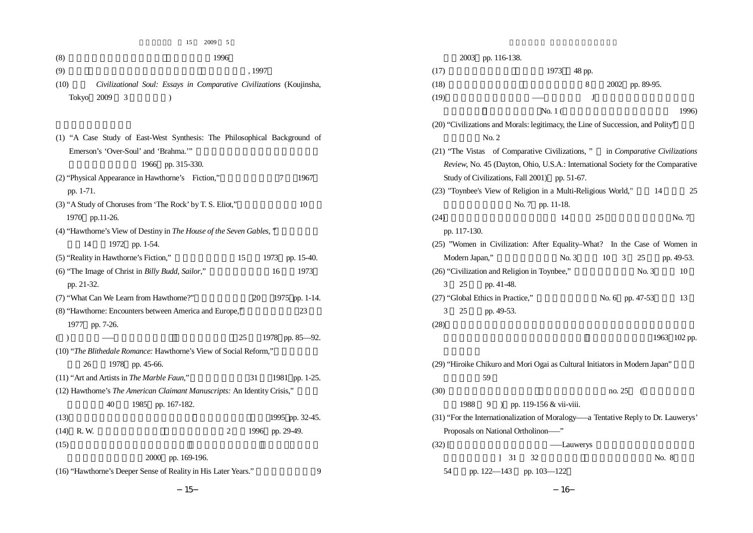15 2009 5

| (8)                                                            | 1996                                                                      | 2003 pp. 116-138.                                                               |                             |                                                                                   |
|----------------------------------------------------------------|---------------------------------------------------------------------------|---------------------------------------------------------------------------------|-----------------------------|-----------------------------------------------------------------------------------|
| (9)                                                            | , 1997                                                                    | (17)                                                                            | 1973<br>48 pp.              |                                                                                   |
| (10)                                                           | Civilizational Soul: Essays in Comparative Civilizations (Koujinsha,      | (18)                                                                            | 8                           | 2002 pp. 89-95.                                                                   |
| Tokyo 2009 3                                                   |                                                                           | (19)                                                                            | J                           |                                                                                   |
|                                                                |                                                                           |                                                                                 | No. $1($                    | 1996)                                                                             |
|                                                                |                                                                           | (20) "Civilizations and Morals: legitimacy, the Line of Succession, and Polity" |                             |                                                                                   |
|                                                                | (1) "A Case Study of East-West Synthesis: The Philosophical Background of | No. 2                                                                           |                             |                                                                                   |
| Emerson's 'Over-Soul' and 'Brahma.""                           |                                                                           |                                                                                 |                             | (21) "The Vistas of Comparative Civilizations," in Comparative Civilizations      |
|                                                                | 1966 pp. 315-330.                                                         |                                                                                 |                             | Review, No. 45 (Dayton, Ohio, U.S.A.: International Society for the Comparative   |
| (2) "Physical Appearance in Hawthorne's Fiction,"              | 1967<br>7                                                                 | Study of Civilizations, Fall 2001) pp. 51-67.                                   |                             |                                                                                   |
| pp. 1-71.                                                      |                                                                           | (23) "Toynbee's View of Religion in a Multi-Religious World,"                   |                             | 14<br>25                                                                          |
| (3) "A Study of Choruses from 'The Rock' by T. S. Eliot,"      | 10                                                                        |                                                                                 | No. 7 pp. 11-18.            |                                                                                   |
| 1970 pp.11-26.                                                 |                                                                           | (24)                                                                            | 14                          | 25<br>No. 7                                                                       |
|                                                                | (4) "Hawthorne's View of Destiny in The House of the Seven Gables,"       | pp. 117-130.                                                                    |                             |                                                                                   |
| 1972 pp. 1-54.<br>14                                           |                                                                           |                                                                                 |                             | (25) "Women in Civilization: After Equality-What? In the Case of Women in         |
| (5) "Reality in Hawthorne's Fiction,"                          | 15<br>1973 pp. 15-40.                                                     | Modern Japan,"                                                                  | No. 3                       | $10 \quad 3$<br>25<br>pp. 49-53.                                                  |
| (6) "The Image of Christ in Billy Budd, Sailor,"               | 1973<br>16                                                                | (26) "Civilization and Religion in Toynbee,"                                    |                             | No. 3<br>10                                                                       |
| pp. 21-32.                                                     |                                                                           | 25<br>pp. 41-48.<br>3                                                           |                             |                                                                                   |
| (7) "What Can We Learn from Hawthorne?"                        | 1975 pp. 1-14.<br>20                                                      | (27) "Global Ethics in Practice,"                                               |                             | No. 6 pp. 47-53<br>13                                                             |
| (8) "Hawthorne: Encounters between America and Europe,"        | 23                                                                        | 25<br>3<br>pp. 49-53.                                                           |                             |                                                                                   |
| 1977 pp. 7-26.                                                 |                                                                           | (28)                                                                            |                             |                                                                                   |
| $($ )                                                          | 25<br>1978 pp. 85-92.                                                     |                                                                                 |                             | 1963 102 pp.                                                                      |
|                                                                | (10) "The Blithedale Romance: Hawthorne's View of Social Reform,"         |                                                                                 |                             |                                                                                   |
| 26<br>1978 pp. 45-66.                                          |                                                                           | (29) "Hiroike Chikuro and Mori Ogai as Cultural Initiators in Modern Japan"     |                             |                                                                                   |
| (11) "Art and Artists in The Marble Faun,"                     | 31<br>1981 pp. 1-25.                                                      | 59                                                                              |                             |                                                                                   |
|                                                                | (12) Hawthorne's The American Claimant Manuscripts: An Identity Crisis,"  | (30)                                                                            |                             | no. 25<br>- (                                                                     |
| 40                                                             | 1985 pp. 167-182.                                                         | 1988                                                                            | 9 ) pp. 119-156 & vii-viii. |                                                                                   |
| (13)                                                           | 1995 pp. 32-45.                                                           |                                                                                 |                             | (31) "For the Internationalization of Moralogy-a Tentative Reply to Dr. Lauwerys' |
| $(14)$ R.W.                                                    | 1996 pp. 29-49.<br>2                                                      | Proposals on National Ortholinon-"                                              |                             |                                                                                   |
| (15)                                                           |                                                                           | $(32)$ [                                                                        | — Lauwerys                  |                                                                                   |
|                                                                | 2000 pp. 169-196.                                                         | $\frac{31}{2}$                                                                  | 32                          | No. 8                                                                             |
| (16) "Hawthorne's Deeper Sense of Reality in His Later Years." | 9                                                                         | pp. 122-143 pp. 103-122<br>54                                                   |                             |                                                                                   |
|                                                                |                                                                           |                                                                                 |                             |                                                                                   |